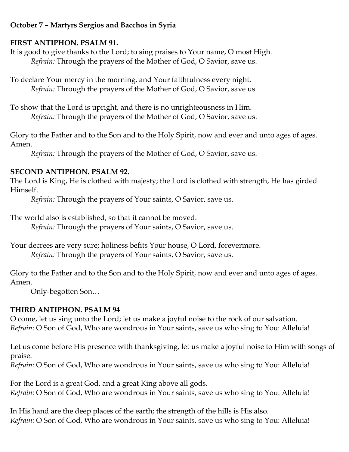#### **October 7 – Martyrs Sergios and Bacchos in Syria**

### **FIRST ANTIPHON. PSALM 91.**

It is good to give thanks to the Lord; to sing praises to Your name, O most High. *Refrain:* Through the prayers of the Mother of God, O Savior, save us.

To declare Your mercy in the morning, and Your faithfulness every night. *Refrain:* Through the prayers of the Mother of God, O Savior, save us.

To show that the Lord is upright, and there is no unrighteousness in Him. *Refrain:* Through the prayers of the Mother of God, O Savior, save us.

Glory to the Father and to the Son and to the Holy Spirit, now and ever and unto ages of ages. Amen.

*Refrain:* Through the prayers of the Mother of God, O Savior, save us.

## **SECOND ANTIPHON. PSALM 92.**

The Lord is King, He is clothed with majesty; the Lord is clothed with strength, He has girded Himself.

*Refrain:* Through the prayers of Your saints, O Savior, save us.

The world also is established, so that it cannot be moved.

*Refrain:* Through the prayers of Your saints, O Savior, save us.

Your decrees are very sure; holiness befits Your house, O Lord, forevermore. *Refrain:* Through the prayers of Your saints, O Savior, save us.

Glory to the Father and to the Son and to the Holy Spirit, now and ever and unto ages of ages. Amen.

Only-begotten Son…

# **THIRD ANTIPHON. PSALM 94**

O come, let us sing unto the Lord; let us make a joyful noise to the rock of our salvation. *Refrain:* O Son of God, Who are wondrous in Your saints, save us who sing to You: Alleluia!

Let us come before His presence with thanksgiving, let us make a joyful noise to Him with songs of praise.

*Refrain:* O Son of God, Who are wondrous in Your saints, save us who sing to You: Alleluia!

For the Lord is a great God, and a great King above all gods. *Refrain:* O Son of God, Who are wondrous in Your saints, save us who sing to You: Alleluia!

In His hand are the deep places of the earth; the strength of the hills is His also. *Refrain:* O Son of God, Who are wondrous in Your saints, save us who sing to You: Alleluia!